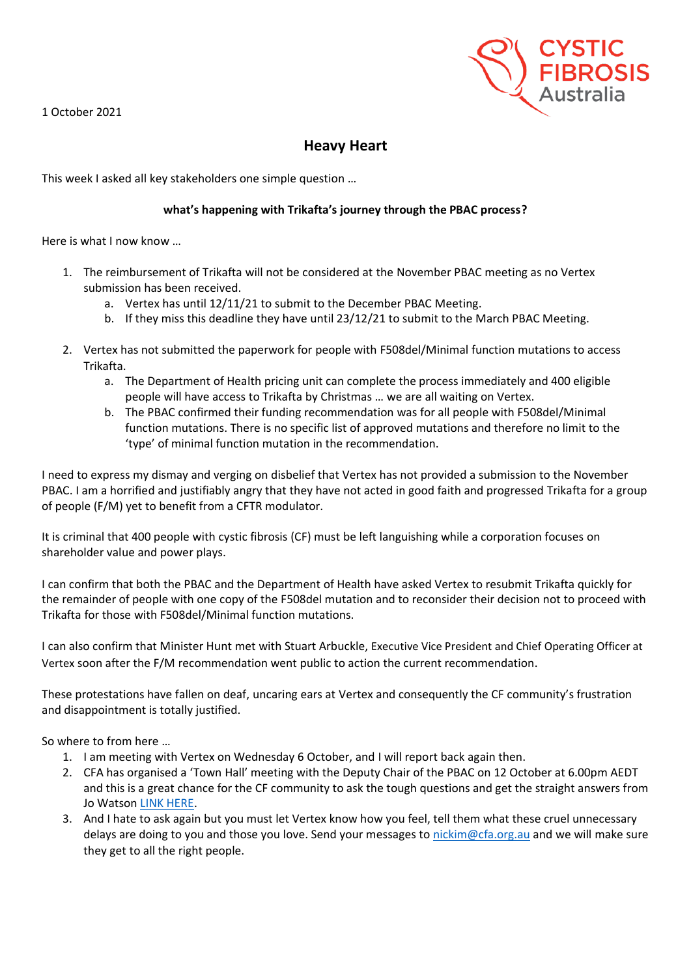1 October 2021



## **Heavy Heart**

This week I asked all key stakeholders one simple question …

## **what's happening with Trikafta's journey through the PBAC process?**

Here is what I now know …

- 1. The reimbursement of Trikafta will not be considered at the November PBAC meeting as no Vertex submission has been received.
	- a. Vertex has until 12/11/21 to submit to the December PBAC Meeting.
	- b. If they miss this deadline they have until 23/12/21 to submit to the March PBAC Meeting.
- 2. Vertex has not submitted the paperwork for people with F508del/Minimal function mutations to access Trikafta.
	- a. The Department of Health pricing unit can complete the process immediately and 400 eligible people will have access to Trikafta by Christmas … we are all waiting on Vertex.
	- b. The PBAC confirmed their funding recommendation was for all people with F508del/Minimal function mutations. There is no specific list of approved mutations and therefore no limit to the 'type' of minimal function mutation in the recommendation.

I need to express my dismay and verging on disbelief that Vertex has not provided a submission to the November PBAC. I am a horrified and justifiably angry that they have not acted in good faith and progressed Trikafta for a group of people (F/M) yet to benefit from a CFTR modulator.

It is criminal that 400 people with cystic fibrosis (CF) must be left languishing while a corporation focuses on shareholder value and power plays.

I can confirm that both the PBAC and the Department of Health have asked Vertex to resubmit Trikafta quickly for the remainder of people with one copy of the F508del mutation and to reconsider their decision not to proceed with Trikafta for those with F508del/Minimal function mutations.

I can also confirm that Minister Hunt met with Stuart Arbuckle, Executive Vice President and Chief Operating Officer at Vertex soon after the F/M recommendation went public to action the current recommendation.

These protestations have fallen on deaf, uncaring ears at Vertex and consequently the CF community's frustration and disappointment is totally justified.

So where to from here …

- 1. I am meeting with Vertex on Wednesday 6 October, and I will report back again then.
- 2. CFA has organised a 'Town Hall' meeting with the Deputy Chair of the PBAC on 12 October at 6.00pm AEDT and this is a great chance for the CF community to ask the tough questions and get the straight answers from Jo Watson [LINK HERE.](https://www.cysticfibrosis.org.au/consumerconnect)
- 3. And I hate to ask again but you must let Vertex know how you feel, tell them what these cruel unnecessary delays are doing to you and those you love. Send your messages to [nickim@cfa.org.au](mailto:nickim@cfa.org.au) and we will make sure they get to all the right people.